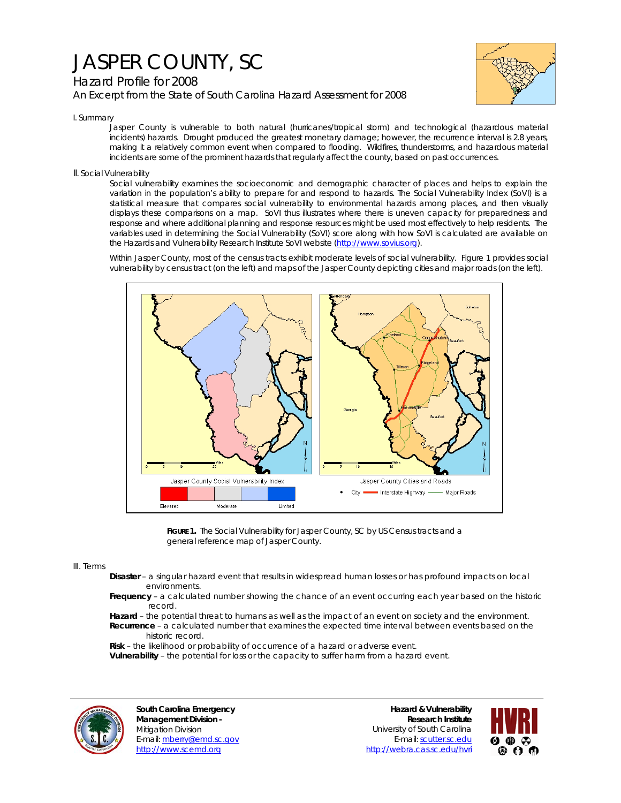## JASPER COUNTY, SC

## Hazard Profile for 2008 *An Excerpt from the State of South Carolina Hazard Assessment for 2008*



I. Summary

Jasper County is vulnerable to both natural (hurricanes/tropical storm) and technological (hazardous material incidents) hazards. Drought produced the greatest monetary damage; however, the recurrence interval is 2.8 years, making it a relatively common event when compared to flooding. Wildfires, thunderstorms, and hazardous material incidents are some of the prominent hazards that regularly affect the county, based on past occurrences.

## II. Social Vulnerability

Social vulnerability examines the socioeconomic and demographic character of places and helps to explain the variation in the population's ability to prepare for and respond to hazards. The Social Vulnerability Index (SoVI) is a statistical measure that compares social vulnerability to environmental hazards among places, and then visually displays these comparisons on a map. SoVI thus illustrates where there is uneven capacity for preparedness and response and where additional planning and response resources might be used most effectively to help residents. The variables used in determining the Social Vulnerability (SoVI) score along with how SoVI is calculated are available on the Hazards and Vulnerability Research Institute SoVI website (http://www.sovius.org).

Within Jasper County, most of the census tracts exhibit moderate levels of social vulnerability. Figure 1 provides social vulnerability by census tract (on the left) and maps of the Jasper County depicting cities and major roads (on the left).



FIGURE 1. The Social Vulnerability for Jasper County, SC by US Census tracts and a general reference map of Jasper County.

III. Terms

- **Disaster** a singular hazard event that results in widespread human losses or has profound impacts on local environments.
- **Frequency** a calculated number showing the chance of an event occurring each year based on the historic record.
- **Hazard** the potential threat to humans as well as the impact of an event on society and the environment.  **Recurrence** – a calculated number that examines the expected time interval between events based on the historic record.
- **Risk** the likelihood or probability of occurrence of a hazard or adverse event.

 **Vulnerability** – the potential for loss or the capacity to suffer harm from a hazard event.



**South Carolina Emergency Management Division -**  Mitigation Division E-mail: mberry@emd.sc.gov http://www.scemd.org

**Hazard & Vulnerability Research Institute**  University of South Carolina E-mail: scutter.sc.edu http://webra.cas.sc.edu/hvri

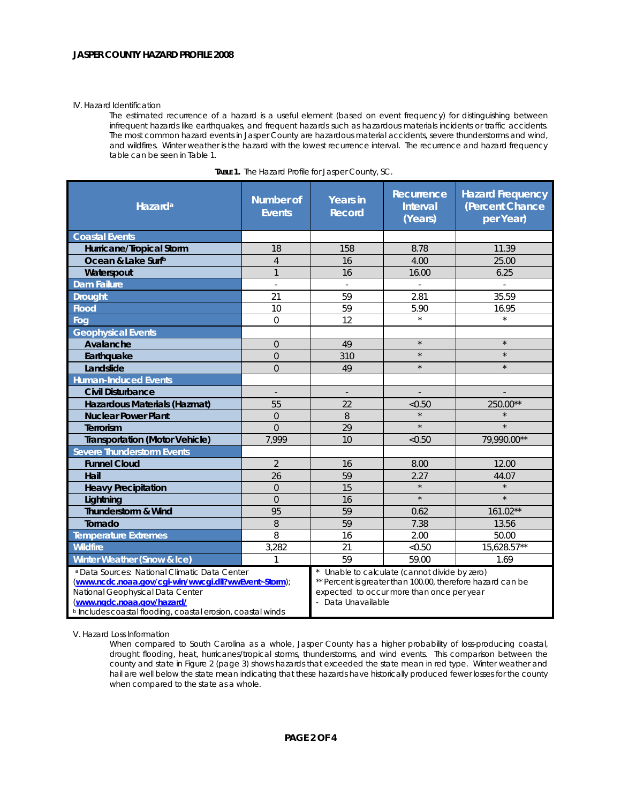## IV. Hazard Identification

The estimated recurrence of a hazard is a useful element (based on event frequency) for distinguishing between infrequent hazards like earthquakes, and frequent hazards such as hazardous materials incidents or traffic accidents. The most common hazard events in Jasper County are hazardous material accidents, severe thunderstorms and wind, and wildfires. Winter weather is the hazard with the lowest recurrence interval. The recurrence and hazard frequency table can be seen in Table 1.

| Hazard <sup>a</sup>                                                                                                                                                                                                                                          | <b>Number of</b><br><b>Events</b> | <b>Years in</b><br><b>Record</b>                                                                                                                                             | Recurrence<br><b>Interval</b><br>(Years) | <b>Hazard Frequency</b><br>(Percent Chance<br>per Year) |
|--------------------------------------------------------------------------------------------------------------------------------------------------------------------------------------------------------------------------------------------------------------|-----------------------------------|------------------------------------------------------------------------------------------------------------------------------------------------------------------------------|------------------------------------------|---------------------------------------------------------|
| <b>Coastal Events</b>                                                                                                                                                                                                                                        |                                   |                                                                                                                                                                              |                                          |                                                         |
| Hurricane/Tropical Storm                                                                                                                                                                                                                                     | 18                                | 158                                                                                                                                                                          | 8.78                                     | 11.39                                                   |
| Ocean & Lake Surfb                                                                                                                                                                                                                                           | $\overline{4}$                    | 16                                                                                                                                                                           | 4.00                                     | 25.00                                                   |
| Waterspout                                                                                                                                                                                                                                                   | $\mathbf{1}$                      | 16                                                                                                                                                                           | 16.00                                    | 6.25                                                    |
| <b>Dam Failure</b>                                                                                                                                                                                                                                           | L.                                | ä,                                                                                                                                                                           |                                          | $\mathcal{L}$                                           |
| <b>Drought</b>                                                                                                                                                                                                                                               | 21                                | 59                                                                                                                                                                           | 2.81                                     | 35.59                                                   |
| <b>Flood</b>                                                                                                                                                                                                                                                 | 10                                | 59                                                                                                                                                                           | 5.90                                     | 16.95                                                   |
| Fog                                                                                                                                                                                                                                                          | $\overline{0}$                    | 12                                                                                                                                                                           | $\star$                                  | $\star$                                                 |
| <b>Geophysical Events</b>                                                                                                                                                                                                                                    |                                   |                                                                                                                                                                              |                                          |                                                         |
| Avalanche                                                                                                                                                                                                                                                    | $\overline{0}$                    | 49                                                                                                                                                                           | $\star$                                  | $\star$                                                 |
| Earthquake                                                                                                                                                                                                                                                   | $\overline{0}$                    | 310                                                                                                                                                                          | $\star$                                  | $\star$                                                 |
| Landslide                                                                                                                                                                                                                                                    | $\Omega$                          | 49                                                                                                                                                                           | $\star$                                  | $\star$                                                 |
| <b>Human-Induced Events</b>                                                                                                                                                                                                                                  |                                   |                                                                                                                                                                              |                                          |                                                         |
| <b>Civil Disturbance</b>                                                                                                                                                                                                                                     | $\overline{\phantom{a}}$          | ÷,                                                                                                                                                                           |                                          |                                                         |
| Hazardous Materials (Hazmat)                                                                                                                                                                                                                                 | 55                                | 22                                                                                                                                                                           | < 0.50                                   | 250.00**                                                |
| <b>Nuclear Power Plant</b>                                                                                                                                                                                                                                   | $\overline{0}$                    | 8                                                                                                                                                                            | $\star$                                  |                                                         |
| Terrorism                                                                                                                                                                                                                                                    | $\overline{0}$                    | 29                                                                                                                                                                           | $\star$                                  | $\star$                                                 |
| <b>Transportation (Motor Vehicle)</b>                                                                                                                                                                                                                        | 7.999                             | 10                                                                                                                                                                           | < 0.50                                   | 79,990.00**                                             |
| <b>Severe Thunderstorm Events</b>                                                                                                                                                                                                                            |                                   |                                                                                                                                                                              |                                          |                                                         |
| <b>Funnel Cloud</b>                                                                                                                                                                                                                                          | $\overline{2}$                    | 16                                                                                                                                                                           | 8.00                                     | 12.00                                                   |
| Hail                                                                                                                                                                                                                                                         | 26                                | 59                                                                                                                                                                           | 2.27                                     | 44.07                                                   |
| <b>Heavy Precipitation</b>                                                                                                                                                                                                                                   | $\overline{0}$                    | 15                                                                                                                                                                           | $\star$                                  | $\star$                                                 |
| Lightning                                                                                                                                                                                                                                                    | $\Omega$                          | 16                                                                                                                                                                           | $\star$                                  | $\star$                                                 |
| Thunderstorm & Wind                                                                                                                                                                                                                                          | 95                                | 59                                                                                                                                                                           | 0.62                                     | 161.02**                                                |
| Tornado                                                                                                                                                                                                                                                      | 8                                 | 59                                                                                                                                                                           | 7.38                                     | 13.56                                                   |
| <b>Temperature Extremes</b>                                                                                                                                                                                                                                  | 8                                 | 16                                                                                                                                                                           | 2.00                                     | 50.00                                                   |
| <b>Wildfire</b>                                                                                                                                                                                                                                              | 3,282                             | 21                                                                                                                                                                           | < 0.50                                   | 15,628.57**                                             |
| Winter Weather (Snow & Ice)                                                                                                                                                                                                                                  | 1                                 | 59                                                                                                                                                                           | 59.00                                    | 1.69                                                    |
| <sup>a</sup> Data Sources: National Climatic Data Center<br>(www.ncdc.noaa.gov/cgi-win/wwcgi.dll?wwEvent~Storm);<br>National Geophysical Data Center<br>(www.ngdc.noaa.gov/hazard/<br><sup>b</sup> Includes coastal flooding, coastal erosion, coastal winds |                                   | Unable to calculate (cannot divide by zero)<br>** Percent is greater than 100.00, therefore hazard can be<br>expected to occur more than once per year<br>- Data Unavailable |                                          |                                                         |

| TABLE 1. The Hazard Profile for Jasper County, SC. |  |
|----------------------------------------------------|--|
|----------------------------------------------------|--|

V. Hazard Loss Information

When compared to South Carolina as a whole, Jasper County has a higher probability of loss-producing coastal, drought flooding, heat, hurricanes/tropical storms, thunderstorms, and wind events. This comparison between the county and state in Figure 2 (page 3) shows hazards that exceeded the state mean in red type. Winter weather and hail are well below the state mean indicating that these hazards have historically produced fewer losses for the county when compared to the state as a whole.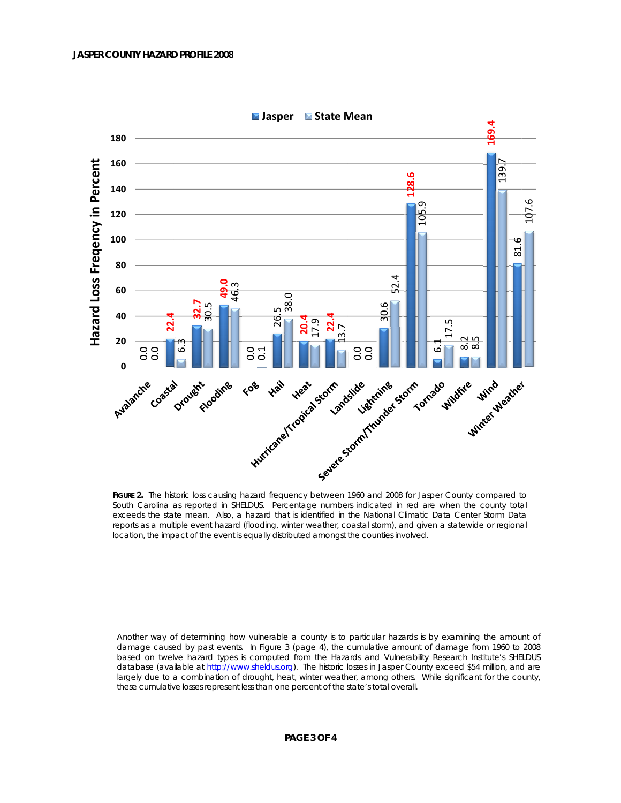

FIGURE 2. The historic loss causing hazard frequency between 1960 and 2008 for Jasper County compared to South Carolina as reported in SHELDUS. Percentage numbers indicated in red are when the county total exceeds the state mean. Also, a hazard that is identified in the National Climatic Data Center Storm Data reports as a multiple event hazard (flooding, winter weather, coastal storm), and given a statewide or regional location, the impact of the event is equally distributed amongst the counties involved.

Another way of determining how vulnerable a county is to particular hazards is by examining the amount of damage caused by past events. In Figure 3 (page 4), the cumulative amount of damage from 1960 to 2008 based on twelve hazard types is computed from the Hazards and Vulnerability Research Institute's SHELDUS database (available at http://www.sheldus.org). The historic losses in Jasper County exceed \$54 million, and are largely due to a combination of drought, heat, winter weather, among others. While significant for the county, these cumulative losses represent less than one percent of the state's total overall.